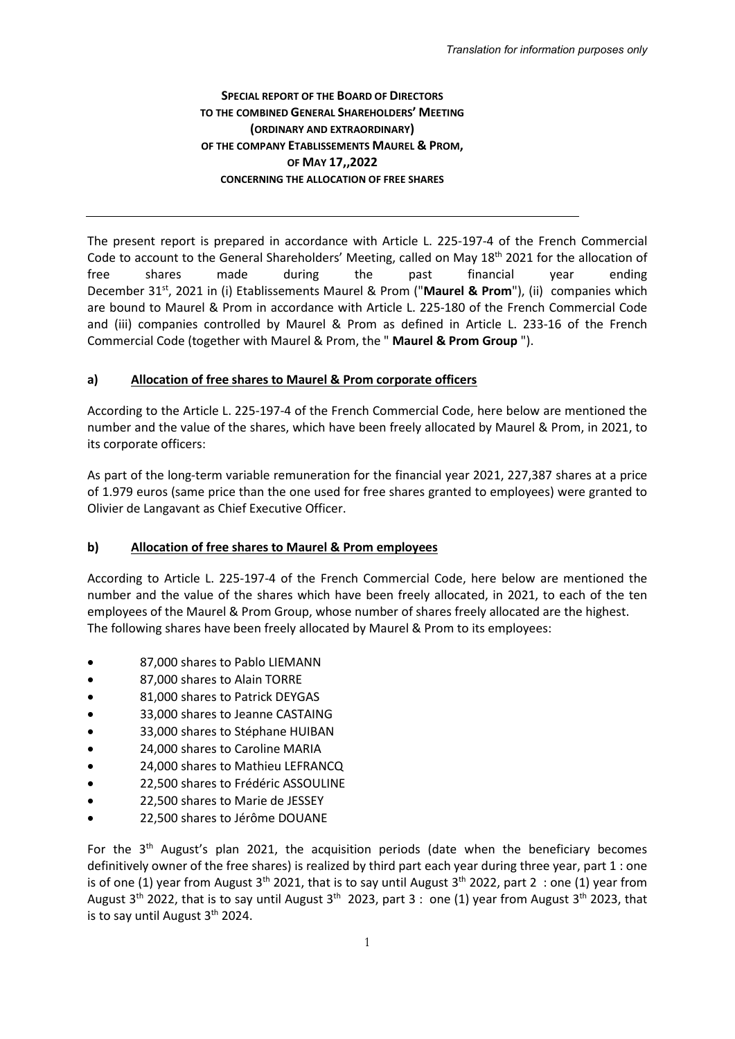## **SPECIAL REPORT OF THE BOARD OF DIRECTORS TO THE COMBINED GENERAL SHAREHOLDERS' MEETING (ORDINARY AND EXTRAORDINARY) OF THE COMPANY ETABLISSEMENTS MAUREL & PROM, OF MAY 17,,2022 CONCERNING THE ALLOCATION OF FREE SHARES**

The present report is prepared in accordance with Article L. 225-197-4 of the French Commercial Code to account to the General Shareholders' Meeting, called on May 18<sup>th</sup> 2021 for the allocation of free shares made during the past financial year ending December 31<sup>st</sup>, 2021 in (i) Etablissements Maurel & Prom ("Maurel & Prom"), (ii) companies which are bound to Maurel & Prom in accordance with Article L. 225-180 of the French Commercial Code and (iii) companies controlled by Maurel & Prom as defined in Article L. 233-16 of the French Commercial Code (together with Maurel & Prom, the " **Maurel & Prom Group** ").

## **a) Allocation of free shares to Maurel & Prom corporate officers**

According to the Article L. 225-197-4 of the French Commercial Code, here below are mentioned the number and the value of the shares, which have been freely allocated by Maurel & Prom, in 2021, to its corporate officers:

As part of the long-term variable remuneration for the financial year 2021, 227,387 shares at a price of 1.979 euros (same price than the one used for free shares granted to employees) were granted to Olivier de Langavant as Chief Executive Officer.

## **b) Allocation of free shares to Maurel & Prom employees**

According to Article L. 225-197-4 of the French Commercial Code, here below are mentioned the number and the value of the shares which have been freely allocated, in 2021, to each of the ten employees of the Maurel & Prom Group, whose number of shares freely allocated are the highest. The following shares have been freely allocated by Maurel & Prom to its employees:

- 87,000 shares to Pablo LIEMANN
- 87,000 shares to Alain TORRE
- 81,000 shares to Patrick DEYGAS
- 33,000 shares to Jeanne CASTAING
- 33,000 shares to Stéphane HUIBAN
- 24,000 shares to Caroline MARIA
- 24,000 shares to Mathieu LEFRANCQ
- 22,500 shares to Frédéric ASSOULINE
- 22,500 shares to Marie de JESSEY
- 22,500 shares to Jérôme DOUANE

For the  $3<sup>th</sup>$  August's plan 2021, the acquisition periods (date when the beneficiary becomes definitively owner of the free shares) is realized by third part each year during three year, part 1 : one is of one (1) year from August  $3<sup>th</sup>$  2021, that is to say until August  $3<sup>th</sup>$  2022, part 2 : one (1) year from August 3<sup>th</sup> 2022, that is to say until August 3<sup>th</sup> 2023, part 3 : one (1) year from August 3<sup>th</sup> 2023, that is to say until August 3<sup>th</sup> 2024.